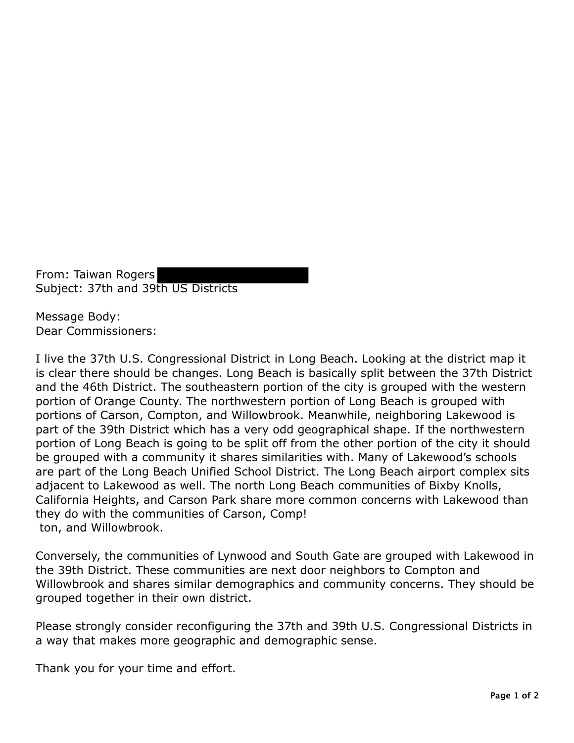From: Taiwan Rogers Subject: 37th and 39th US Districts

Message Body: Dear Commissioners:

I live the 37th U.S. Congressional District in Long Beach. Looking at the district map it is clear there should be changes. Long Beach is basically split between the 37th District and the 46th District. The southeastern portion of the city is grouped with the western portion of Orange County. The northwestern portion of Long Beach is grouped with portions of Carson, Compton, and Willowbrook. Meanwhile, neighboring Lakewood is part of the 39th District which has a very odd geographical shape. If the northwestern portion of Long Beach is going to be split off from the other portion of the city it should be grouped with a community it shares similarities with. Many of Lakewood's schools are part of the Long Beach Unified School District. The Long Beach airport complex sits adjacent to Lakewood as well. The north Long Beach communities of Bixby Knolls, California Heights, and Carson Park share more common concerns with Lakewood than they do with the communities of Carson, Comp! ton, and Willowbrook.

Conversely, the communities of Lynwood and South Gate are grouped with Lakewood in the 39th District. These communities are next door neighbors to Compton and Willowbrook and shares similar demographics and community concerns. They should be grouped together in their own district.

Please strongly consider reconfiguring the 37th and 39th U.S. Congressional Districts in a way that makes more geographic and demographic sense.

Thank you for your time and effort.